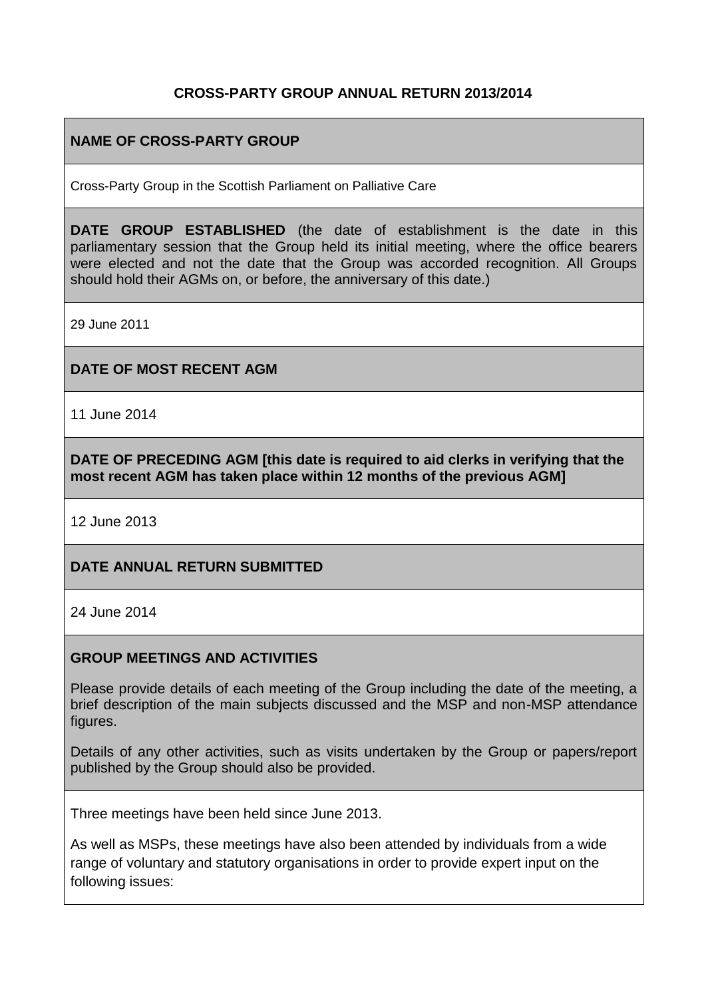### **CROSS-PARTY GROUP ANNUAL RETURN 2013/2014**

# **NAME OF CROSS-PARTY GROUP**

Cross-Party Group in the Scottish Parliament on Palliative Care

**DATE GROUP ESTABLISHED** (the date of establishment is the date in this parliamentary session that the Group held its initial meeting, where the office bearers were elected and not the date that the Group was accorded recognition. All Groups should hold their AGMs on, or before, the anniversary of this date.)

29 June 2011

#### **DATE OF MOST RECENT AGM**

11 June 2014

**DATE OF PRECEDING AGM [this date is required to aid clerks in verifying that the most recent AGM has taken place within 12 months of the previous AGM]**

12 June 2013

#### **DATE ANNUAL RETURN SUBMITTED**

24 June 2014

#### **GROUP MEETINGS AND ACTIVITIES**

Please provide details of each meeting of the Group including the date of the meeting, a brief description of the main subjects discussed and the MSP and non-MSP attendance figures.

Details of any other activities, such as visits undertaken by the Group or papers/report published by the Group should also be provided.

Three meetings have been held since June 2013.

As well as MSPs, these meetings have also been attended by individuals from a wide range of voluntary and statutory organisations in order to provide expert input on the following issues: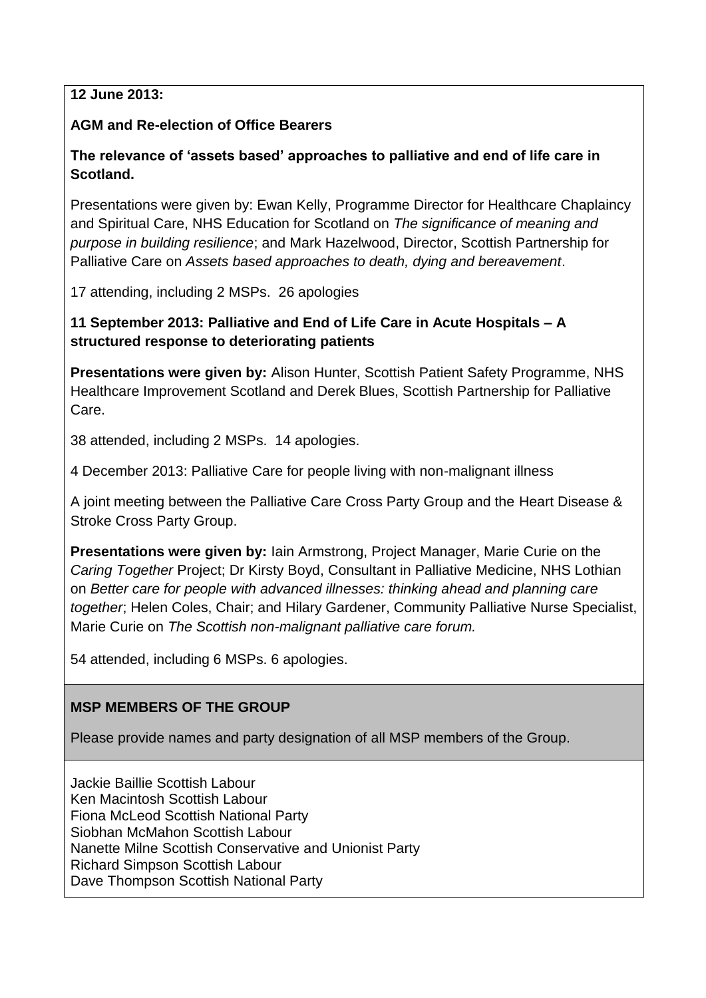### **12 June 2013:**

### **AGM and Re-election of Office Bearers**

# **The relevance of 'assets based' approaches to palliative and end of life care in Scotland.**

Presentations were given by: Ewan Kelly, Programme Director for Healthcare Chaplaincy and Spiritual Care, NHS Education for Scotland on *The significance of meaning and purpose in building resilience*; and Mark Hazelwood, Director, Scottish Partnership for Palliative Care on *Assets based approaches to death, dying and bereavement*.

17 attending, including 2 MSPs. 26 apologies

# **11 September 2013: Palliative and End of Life Care in Acute Hospitals – A structured response to deteriorating patients**

**Presentations were given by:** Alison Hunter, Scottish Patient Safety Programme, NHS Healthcare Improvement Scotland and Derek Blues, Scottish Partnership for Palliative Care.

38 attended, including 2 MSPs. 14 apologies.

4 December 2013: Palliative Care for people living with non-malignant illness

A joint meeting between the Palliative Care Cross Party Group and the Heart Disease & Stroke Cross Party Group.

**Presentations were given by:** Iain Armstrong, Project Manager, Marie Curie on the *Caring Together* Project; Dr Kirsty Boyd, Consultant in Palliative Medicine, NHS Lothian on *Better care for people with advanced illnesses: thinking ahead and planning care together*; Helen Coles, Chair; and Hilary Gardener, Community Palliative Nurse Specialist, Marie Curie on *The Scottish non-malignant palliative care forum.*

54 attended, including 6 MSPs. 6 apologies.

# **MSP MEMBERS OF THE GROUP**

Please provide names and party designation of all MSP members of the Group.

Jackie Baillie Scottish Labour Ken Macintosh Scottish Labour Fiona McLeod Scottish National Party Siobhan McMahon Scottish Labour Nanette Milne Scottish Conservative and Unionist Party Richard Simpson Scottish Labour Dave Thompson Scottish National Party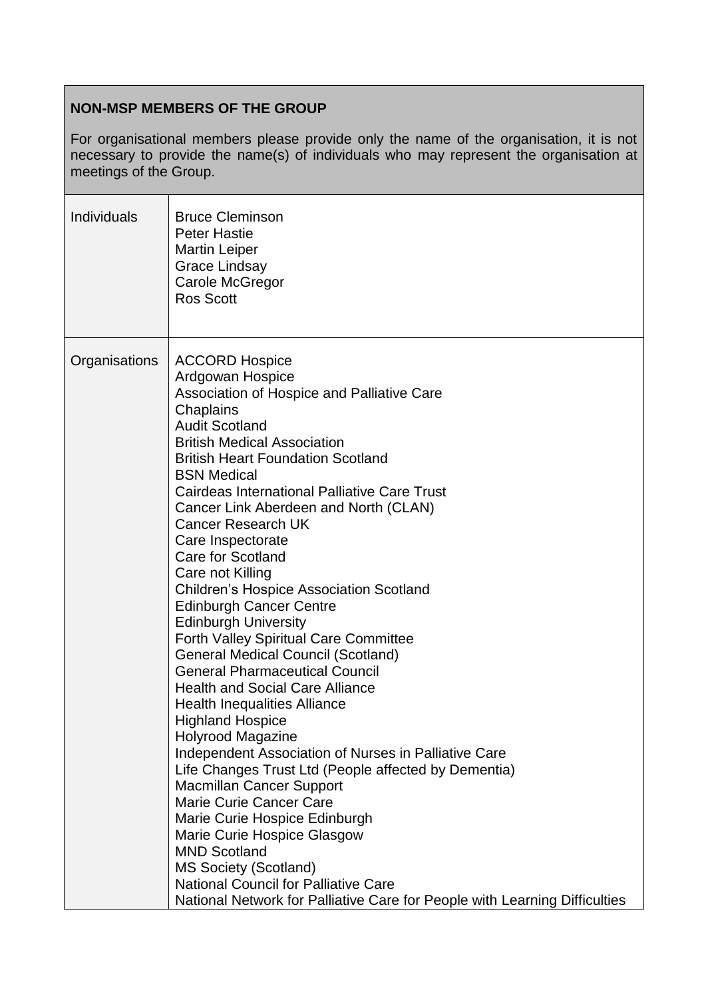# **NON-MSP MEMBERS OF THE GROUP**

For organisational members please provide only the name of the organisation, it is not necessary to provide the name(s) of individuals who may represent the organisation at meetings of the Group.

| <b>Individuals</b> | <b>Bruce Cleminson</b><br><b>Peter Hastie</b><br><b>Martin Leiper</b><br>Grace Lindsay<br>Carole McGregor<br><b>Ros Scott</b>                                                                                                                                                                                                                                                                                                                                                                                                                                                                                                                                                                                                                                                                                                                                                                                                                                                                                                                                                                                                                                                                                                                                              |
|--------------------|----------------------------------------------------------------------------------------------------------------------------------------------------------------------------------------------------------------------------------------------------------------------------------------------------------------------------------------------------------------------------------------------------------------------------------------------------------------------------------------------------------------------------------------------------------------------------------------------------------------------------------------------------------------------------------------------------------------------------------------------------------------------------------------------------------------------------------------------------------------------------------------------------------------------------------------------------------------------------------------------------------------------------------------------------------------------------------------------------------------------------------------------------------------------------------------------------------------------------------------------------------------------------|
| Organisations      | <b>ACCORD Hospice</b><br>Ardgowan Hospice<br>Association of Hospice and Palliative Care<br>Chaplains<br><b>Audit Scotland</b><br><b>British Medical Association</b><br><b>British Heart Foundation Scotland</b><br><b>BSN Medical</b><br><b>Cairdeas International Palliative Care Trust</b><br>Cancer Link Aberdeen and North (CLAN)<br><b>Cancer Research UK</b><br>Care Inspectorate<br><b>Care for Scotland</b><br>Care not Killing<br><b>Children's Hospice Association Scotland</b><br><b>Edinburgh Cancer Centre</b><br><b>Edinburgh University</b><br><b>Forth Valley Spiritual Care Committee</b><br><b>General Medical Council (Scotland)</b><br><b>General Pharmaceutical Council</b><br><b>Health and Social Care Alliance</b><br><b>Health Inequalities Alliance</b><br><b>Highland Hospice</b><br><b>Holyrood Magazine</b><br>Independent Association of Nurses in Palliative Care<br>Life Changes Trust Ltd (People affected by Dementia)<br><b>Macmillan Cancer Support</b><br><b>Marie Curie Cancer Care</b><br>Marie Curie Hospice Edinburgh<br>Marie Curie Hospice Glasgow<br><b>MND Scotland</b><br><b>MS Society (Scotland)</b><br>National Council for Palliative Care<br>National Network for Palliative Care for People with Learning Difficulties |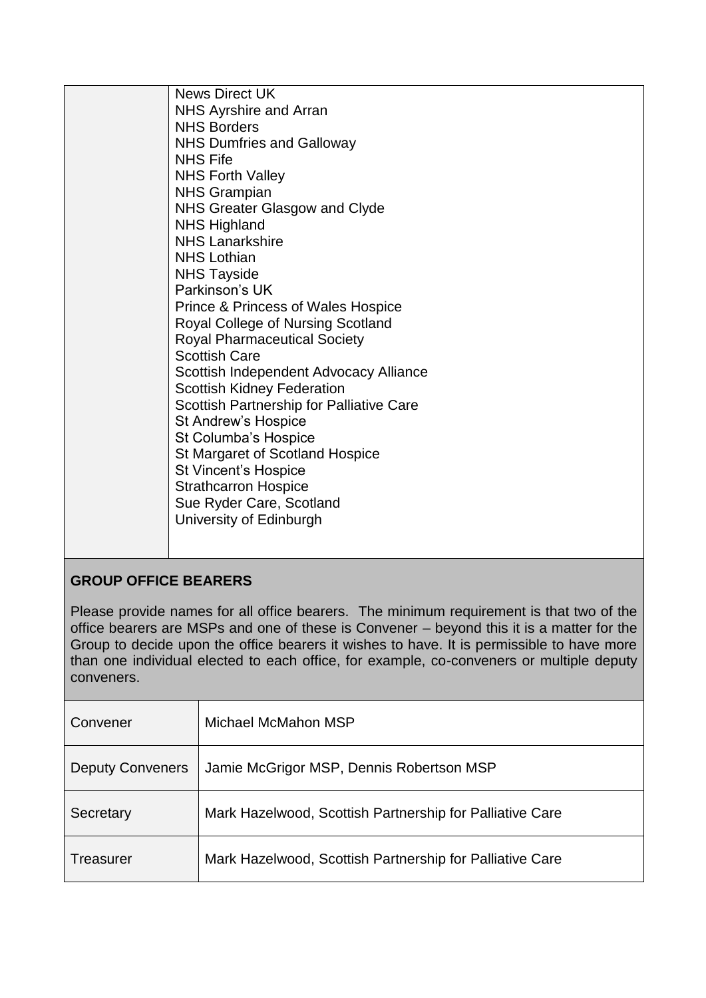| <b>News Direct UK</b><br>NHS Ayrshire and Arran<br><b>NHS Borders</b><br><b>NHS Dumfries and Galloway</b><br><b>NHS Fife</b><br><b>NHS Forth Valley</b><br><b>NHS Grampian</b><br><b>NHS Greater Glasgow and Clyde</b><br><b>NHS Highland</b><br><b>NHS Lanarkshire</b><br><b>NHS Lothian</b><br><b>NHS Tayside</b><br>Parkinson's UK<br><b>Prince &amp; Princess of Wales Hospice</b><br>Royal College of Nursing Scotland<br><b>Royal Pharmaceutical Society</b><br><b>Scottish Care</b><br>Scottish Independent Advocacy Alliance<br><b>Scottish Kidney Federation</b><br>Scottish Partnership for Palliative Care<br>St Andrew's Hospice<br>St Columba's Hospice<br>St Margaret of Scotland Hospice<br>St Vincent's Hospice<br><b>Strathcarron Hospice</b><br>Sue Ryder Care, Scotland<br>University of Edinburgh |
|-----------------------------------------------------------------------------------------------------------------------------------------------------------------------------------------------------------------------------------------------------------------------------------------------------------------------------------------------------------------------------------------------------------------------------------------------------------------------------------------------------------------------------------------------------------------------------------------------------------------------------------------------------------------------------------------------------------------------------------------------------------------------------------------------------------------------|
|-----------------------------------------------------------------------------------------------------------------------------------------------------------------------------------------------------------------------------------------------------------------------------------------------------------------------------------------------------------------------------------------------------------------------------------------------------------------------------------------------------------------------------------------------------------------------------------------------------------------------------------------------------------------------------------------------------------------------------------------------------------------------------------------------------------------------|

# **GROUP OFFICE BEARERS**

Please provide names for all office bearers. The minimum requirement is that two of the office bearers are MSPs and one of these is Convener – beyond this it is a matter for the Group to decide upon the office bearers it wishes to have. It is permissible to have more than one individual elected to each office, for example, co-conveners or multiple deputy conveners.

| Convener                | Michael McMahon MSP                                      |
|-------------------------|----------------------------------------------------------|
| <b>Deputy Conveners</b> | Jamie McGrigor MSP, Dennis Robertson MSP                 |
| Secretary               | Mark Hazelwood, Scottish Partnership for Palliative Care |
| Treasurer               | Mark Hazelwood, Scottish Partnership for Palliative Care |